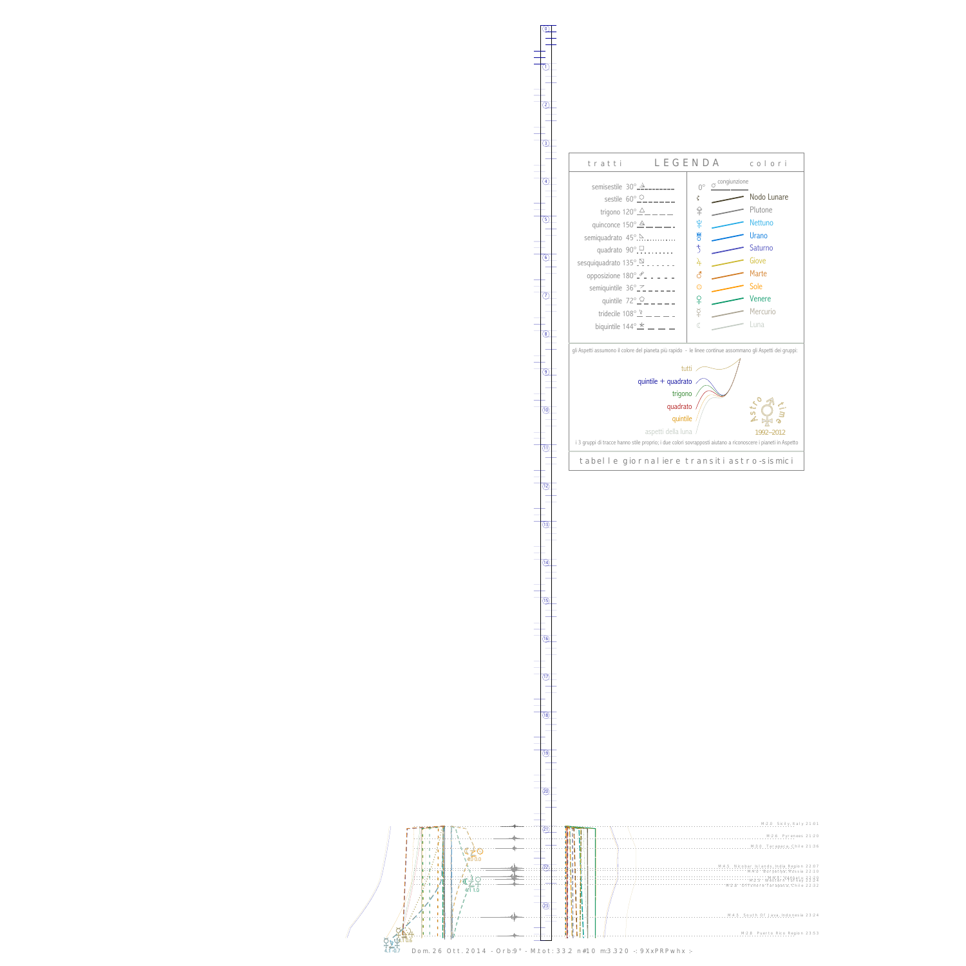